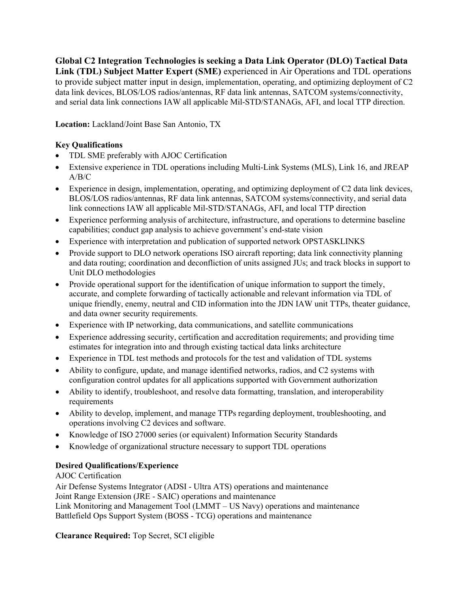**Global C2 Integration Technologies is seeking a Data Link Operator (DLO) Tactical Data Link (TDL) Subject Matter Expert (SME)** experienced in Air Operations and TDL operations to provide subject matter input in design, implementation, operating, and optimizing deployment of C2 data link devices, BLOS/LOS radios/antennas, RF data link antennas, SATCOM systems/connectivity, and serial data link connections IAW all applicable Mil-STD/STANAGs, AFI, and local TTP direction.

**Location:** Lackland/Joint Base San Antonio, TX

## **Key Qualifications**

- TDL SME preferably with AJOC Certification
- Extensive experience in TDL operations including Multi-Link Systems (MLS), Link 16, and JREAP A/B/C
- Experience in design, implementation, operating, and optimizing deployment of C2 data link devices, BLOS/LOS radios/antennas, RF data link antennas, SATCOM systems/connectivity, and serial data link connections IAW all applicable Mil-STD/STANAGs, AFI, and local TTP direction
- Experience performing analysis of architecture, infrastructure, and operations to determine baseline capabilities; conduct gap analysis to achieve government's end-state vision
- Experience with interpretation and publication of supported network OPSTASKLINKS
- Provide support to DLO network operations ISO aircraft reporting; data link connectivity planning and data routing; coordination and deconfliction of units assigned JUs; and track blocks in support to Unit DLO methodologies
- Provide operational support for the identification of unique information to support the timely, accurate, and complete forwarding of tactically actionable and relevant information via TDL of unique friendly, enemy, neutral and CID information into the JDN IAW unit TTPs, theater guidance, and data owner security requirements.
- Experience with IP networking, data communications, and satellite communications
- Experience addressing security, certification and accreditation requirements; and providing time estimates for integration into and through existing tactical data links architecture
- Experience in TDL test methods and protocols for the test and validation of TDL systems
- Ability to configure, update, and manage identified networks, radios, and C2 systems with configuration control updates for all applications supported with Government authorization
- Ability to identify, troubleshoot, and resolve data formatting, translation, and interoperability requirements
- Ability to develop, implement, and manage TTPs regarding deployment, troubleshooting, and operations involving C2 devices and software.
- Knowledge of ISO 27000 series (or equivalent) Information Security Standards
- Knowledge of organizational structure necessary to support TDL operations

## **Desired Qualifications/Experience**

## AJOC Certification

Air Defense Systems Integrator (ADSI - Ultra ATS) operations and maintenance Joint Range Extension (JRE - SAIC) operations and maintenance Link Monitoring and Management Tool (LMMT – US Navy) operations and maintenance Battlefield Ops Support System (BOSS - TCG) operations and maintenance

**Clearance Required:** Top Secret, SCI eligible